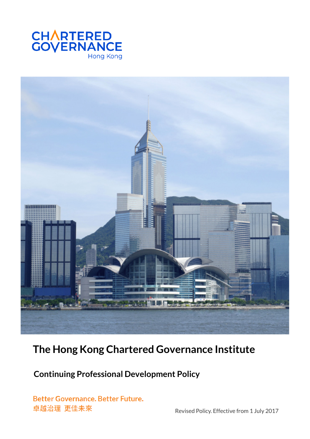



# **The Hong Kong Chartered Governance Institute**

 **Continuing Professional Development Policy** 

**Better Governance. Better Future.** 卓越治理 更佳未來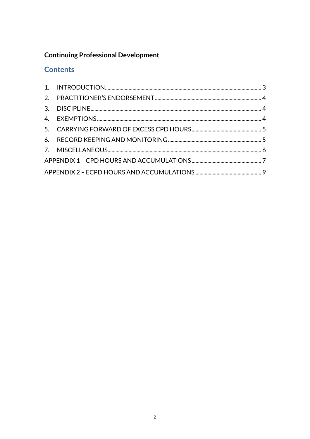# **Continuing Professional Development**

# **Contents**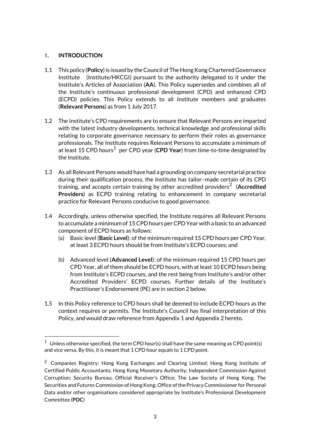### **1. INTRODUCTION**

- 1.1 This policy (**Policy**) is issued by the Council of The Hong Kong Chartered Governance Institute (Institute/HKCGI) pursuant to the authority delegated to it under the Institute's Articles of Association (**AA**). This Policy supersedes and combines all of the Institute's continuous professional development (CPD) and enhanced CPD (ECPD) policies. This Policy extends to all Institute members and graduates (**Relevant Persons**) as from 1 July 2017.
- 1.2 The Institute's CPD requirements are to ensure that Relevant Persons are imparted with the latest industry developments, technical knowledge and professional skills relating to corporate governance necessary to perform their roles as governance professionals. The Institute requires Relevant Persons to accumulate a minimum of .<br>at least 15 CPD hours<sup>1</sup> per CPD year (**CPD Year**) from time-to-time designated by the Institute.
- 1.3 As all Relevant Persons would have had a grounding on company secretarial practice during their qualification process, the Institute has tailor–made certain of its CPD  $t$ raining, and accepts certain training by other accredited providers $^2\,$  (**Accredited Providers**) as ECPD training relating to enhancement in company secretarial practice for Relevant Persons conducive to good governance.
- 1.4 Accordingly, unless otherwise specified, the Institute requires all Relevant Persons to accumulate a minimum of 15 CPD hours per CPD Year with a basic to an advanced component of ECPD hours as follows:
	- (a) Basic level (**Basic Level**): of the minimum required 15 CPD hours per CPD Year, at least 3 ECPD hours should be from Institute's ECPD courses; and
	- (b) Advanced level (**Advanced Level**): of the minimum required 15 CPD hours per CPD Year, all of them should be ECPD hours, with at least 10 ECPD hours being from Institute's ECPD courses, and the rest being from Institute's and/or other Accredited Providers' ECPD courses. Further details of the Institute's Practitioner's Endorsement (PE) are in section 2 below.
- 1.5 In this Policy reference to CPD hours shall be deemed to include ECPD hours as the context requires or permits. The Institute's Council has final interpretation of this Policy, and would draw reference from Appendix 1 and Appendix 2 hereto.

<sup>&</sup>lt;sup>1</sup> Unless otherwise specified, the term CPD hour(s) shall have the same meaning as CPD point(s) and vice versa. By this, it is meant that 1 CPD hour equals to 1 CPD point.

<sup>&</sup>lt;sup>2</sup> Companies Registry; Hong Kong Exchanges and Clearing Limited; Hong Kong Institute of Certified Public Accountants; Hong Kong Monetary Authority; Independent Commission Against Corruption; Security Bureau; Official Receiver's Office; The Law Society of Hong Kong; The Securities and Futures Commission of Hong Kong; Office of the Privacy Commissioner for Personal Data and/or other organisations considered appropriate by Institute's Professional Development Committee (**PDC**)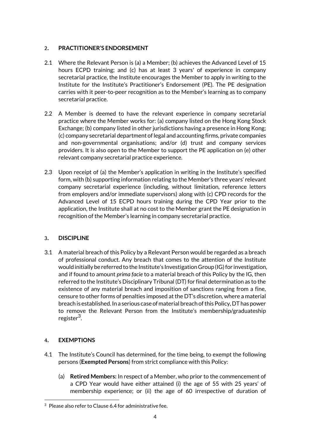## **2. PRACTITIONER'S ENDORSEMENT**

- 2.1 Where the Relevant Person is (a) a Member; (b) achieves the Advanced Level of 15 hours ECPD training; and (c) has at least 3 years' of experience in company secretarial practice, the Institute encourages the Member to apply in writing to the Institute for the Institute's Practitioner's Endorsement (PE). The PE designation carries with it peer-to-peer recognition as to the Member's learning as to company secretarial practice.
- 2.2 A Member is deemed to have the relevant experience in company secretarial practice where the Member works for: (a) company listed on the Hong Kong Stock Exchange; (b) company listed in other jurisdictions having a presence in Hong Kong; (c) company secretarial department of legal and accounting firms, private companies and non-governmental organisations; and/or (d) trust and company services providers. It is also open to the Member to support the PE application on (e) other relevant company secretarial practice experience.
- 2.3 Upon receipt of (a) the Member's application in writing in the Institute's specified form, with (b) supporting information relating to the Member's three years' relevant company secretarial experience (including, without limitation, reference letters from employers and/or immediate supervisors) along with (c) CPD records for the Advanced Level of 15 ECPD hours training during the CPD Year prior to the application, the Institute shall at no cost to the Member grant the PE designation in recognition of the Member's learning in company secretarial practice.

# **3. DISCIPLINE**

3.1 A material breach of this Policy by a Relevant Person would be regarded as a breach of professional conduct. Any breach that comes to the attention of the Institute would initially be referred to the Institute's Investigation Group (IG) for investigation, and if found to amount *prima facie* to a material breach of this Policy by the IG, then referred to the Institute's Disciplinary Tribunal (DT) for final determination as to the existence of any material breach and imposition of sanctions ranging from a fine, censure to other forms of penalties imposed at the DT's discretion, where a material breach is established. In a serious case of material breach of this Policy, DT has power to remove the Relevant Person from the Institute's membership/graduateship register<sup>3</sup>.

# **4. EXEMPTIONS**

- 4.1 The Institute's Council has determined, for the time being, to exempt the following persons (**Exempted Persons**) from strict compliance with this Policy:
	- (a) **Retired Members:** In respect of a Member, who prior to the commencement of a CPD Year would have either attained (i) the age of 55 with 25 years' of membership experience; or (ii) the age of 60 irrespective of duration of

 $3$  Please also refer to Clause 6.4 for administrative fee.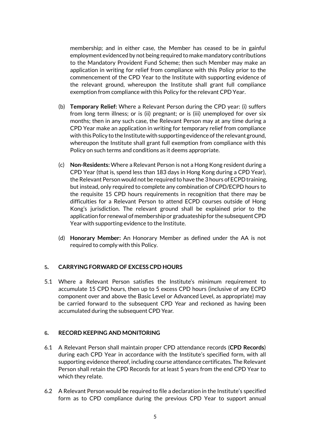membership; and in either case, the Member has ceased to be in gainful employment evidenced by not being required to make mandatory contributions to the Mandatory Provident Fund Scheme; then such Member may make an application in writing for relief from compliance with this Policy prior to the commencement of the CPD Year to the Institute with supporting evidence of the relevant ground, whereupon the Institute shall grant full compliance exemption from compliance with this Policy for the relevant CPD Year.

- (b) **Temporary Relief:** Where a Relevant Person during the CPD year: (i) suffers from long term illness; or is (ii) pregnant; or is (iii) unemployed for over six months; then in any such case, the Relevant Person may at any time during a CPD Year make an application in writing for temporary relief from compliance with this Policy to the Institute with supporting evidence of the relevant ground, whereupon the Institute shall grant full exemption from compliance with this Policy on such terms and conditions as it deems appropriate.
- (c) **Non-Residents:** Where a Relevant Person is not a Hong Kong resident during a CPD Year (that is, spend less than 183 days in Hong Kong during a CPD Year), the Relevant Person would not be required to have the 3 hours of ECPD training, but instead, only required to complete any combination of CPD/ECPD hours to the requisite 15 CPD hours requirements in recognition that there may be difficulties for a Relevant Person to attend ECPD courses outside of Hong Kong's jurisdiction. The relevant ground shall be explained prior to the application for renewal of membership or graduateship for the subsequent CPD Year with supporting evidence to the Institute.
- (d) **Honorary Member:** An Honorary Member as defined under the AA is not required to comply with this Policy.

#### **5. CARRYING FORWARD OF EXCESS CPD HOURS**

5.1 Where a Relevant Person satisfies the Institute's minimum requirement to accumulate 15 CPD hours, then up to 5 excess CPD hours (inclusive of any ECPD component over and above the Basic Level or Advanced Level, as appropriate) may be carried forward to the subsequent CPD Year and reckoned as having been accumulated during the subsequent CPD Year.

#### **6. RECORD KEEPING AND MONITORING**

- 6.1 A Relevant Person shall maintain proper CPD attendance records (**CPD Records**) during each CPD Year in accordance with the Institute's specified form, with all supporting evidence thereof, including course attendance certificates. The Relevant Person shall retain the CPD Records for at least 5 years from the end CPD Year to which they relate.
- 6.2 A Relevant Person would be required to file a declaration in the Institute's specified form as to CPD compliance during the previous CPD Year to support annual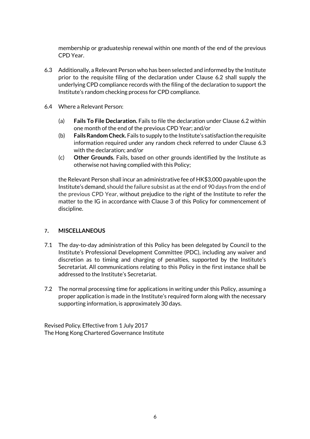membership or graduateship renewal within one month of the end of the previous CPD Year.

- 6.3 Additionally, a Relevant Person who has been selected and informed by the Institute prior to the requisite filing of the declaration under Clause 6.2 shall supply the underlying CPD compliance records with the filing of the declaration to support the Institute's random checking process for CPD compliance.
- 6.4 Where a Relevant Person:
	- (a) **Fails To File Declaration.** Fails to file the declaration under Clause 6.2 within one month of the end of the previous CPD Year; and/or
	- (b) **Fails Random Check.** Fails to supply to the Institute's satisfaction the requisite information required under any random check referred to under Clause 6.3 with the declaration; and/or
	- (c) **Other Grounds.** Fails, based on other grounds identified by the Institute as otherwise not having complied with this Policy;

the Relevant Person shall incur an administrative fee of HK\$3,000 payable upon the Institute's demand, should the failure subsist as at the end of 90 days from the end of the previous CPD Year, without prejudice to the right of the Institute to refer the matter to the IG in accordance with Clause 3 of this Policy for commencement of discipline.

### **7. MISCELLANEOUS**

- 7.1 The day-to-day administration of this Policy has been delegated by Council to the Institute's Professional Development Committee (PDC), including any waiver and discretion as to timing and charging of penalties, supported by the Institute's Secretariat. All communications relating to this Policy in the first instance shall be addressed to the Institute's Secretariat.
- 7.2 The normal processing time for applications in writing under this Policy, assuming a proper application is made in the Institute's required form along with the necessary supporting information, is approximately 30 days.

Revised Policy. Effective from 1 July 2017 The Hong Kong Chartered Governance Institute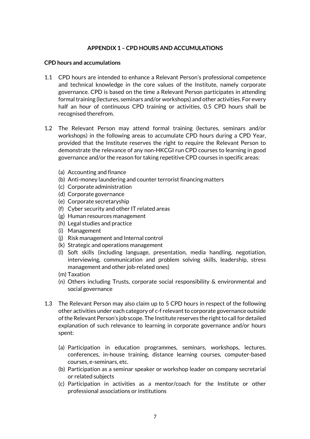#### **APPENDIX 1 – CPD HOURS AND ACCUMULATIONS**

#### **CPD hours and accumulations**

- 1.1 CPD hours are intended to enhance a Relevant Person's professional competence and technical knowledge in the core values of the Institute, namely corporate governance. CPD is based on the time a Relevant Person participates in attending formal training (lectures, seminars and/or workshops) and other activities. For every half an hour of continuous CPD training or activities, 0.5 CPD hours shall be recognised therefrom.
- 1.2 The Relevant Person may attend formal training (lectures, seminars and/or workshops) in the following areas to accumulate CPD hours during a CPD Year, provided that the Institute reserves the right to require the Relevant Person to demonstrate the relevance of any non-HKCGI run CPD courses to learning in good governance and/or the reason for taking repetitive CPD courses in specific areas:
	- (a) Accounting and finance
	- (b) Anti-money laundering and counter terrorist financing matters
	- (c) Corporate administration
	- (d) Corporate governance
	- (e) Corporate secretaryship
	- (f) Cyber security and other IT related areas
	- (g) Human resources management
	- (h) Legal studies and practice
	- (i) Management
	- (j) Risk management and Internal control
	- (k) Strategic and operations management
	- (l) Soft skills (including language, presentation, media handling, negotiation, interviewing, communication and problem solving skills, leadership, stress management and other job-related ones)
	- (m) Taxation
	- (n) Others including Trusts, corporate social responsibility & environmental and social governance
- 1.3 The Relevant Person may also claim up to 5 CPD hours in respect of the following other activities under each category of c-f relevant to corporate governance outside of the Relevant Person's job scope. The Institute reserves the right to call for detailed explanation of such relevance to learning in corporate governance and/or hours spent:
	- (a) Participation in education programmes, seminars, workshops, lectures, conferences, in-house training, distance learning courses, computer-based courses, e-seminars, etc.
	- (b) Participation as a seminar speaker or workshop leader on company secretarial or related subjects
	- (c) Participation in activities as a mentor/coach for the Institute or other professional associations or institutions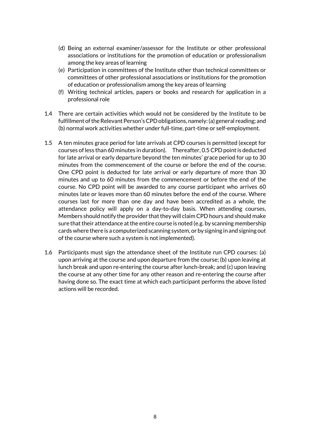- (d) Being an external examiner/assessor for the Institute or other professional associations or institutions for the promotion of education or professionalism among the key areas of learning
- (e) Participation in committees of the Institute other than technical committees or committees of other professional associations or institutions for the promotion of education or professionalism among the key areas of learning
- (f) Writing technical articles, papers or books and research for application in a professional role
- 1.4 There are certain activities which would not be considered by the Institute to be fulfillment of the Relevant Person's CPD obligations, namely: (a) general reading; and (b) normal work activities whether under full-time, part-time or self-employment.
- 1.5 A ten minutes grace period for late arrivals at CPD courses is permitted (except for courses of less than 60 minutes in duration). Thereafter, 0.5 CPD point is deducted for late arrival or early departure beyond the ten minutes' grace period for up to 30 minutes from the commencement of the course or before the end of the course. One CPD point is deducted for late arrival or early departure of more than 30 minutes and up to 60 minutes from the commencement or before the end of the course. No CPD point will be awarded to any course participant who arrives 60 minutes late or leaves more than 60 minutes before the end of the course. Where courses last for more than one day and have been accredited as a whole, the attendance policy will apply on a day-to-day basis. When attending courses, Members should notify the provider that they will claim CPD hours and should make sure that their attendance at the entire course is noted (e.g. by scanning membership cards where there is a computerized scanning system, or by signing in and signing out of the course where such a system is not implemented).
- 1.6 Participants must sign the attendance sheet of the Institute run CPD courses: (a) upon arriving at the course and upon departure from the course; (b) upon leaving at lunch break and upon re-entering the course after lunch-break; and (c) upon leaving the course at any other time for any other reason and re-entering the course after having done so. The exact time at which each participant performs the above listed actions will be recorded.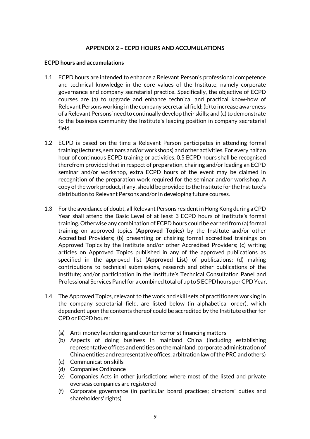#### **APPENDIX 2 – ECPD HOURS AND ACCUMULATIONS**

#### **ECPD hours and accumulations**

- 1.1 ECPD hours are intended to enhance a Relevant Person's professional competence and technical knowledge in the core values of the Institute, namely corporate governance and company secretarial practice. Specifically, the objective of ECPD courses are (a) to upgrade and enhance technical and practical know-how of Relevant Persons working in the company secretarial field; (b) to increase awareness of a Relevant Persons' need to continually develop their skills; and (c) to demonstrate to the business community the Institute's leading position in company secretarial field.
- 1.2 ECPD is based on the time a Relevant Person participates in attending formal training (lectures, seminars and/or workshops) and other activities. For every half an hour of continuous ECPD training or activities, 0.5 ECPD hours shall be recognised therefrom provided that in respect of preparation, chairing and/or leading an ECPD seminar and/or workshop, extra ECPD hours of the event may be claimed in recognition of the preparation work required for the seminar and/or workshop. A copy of the work product, if any, should be provided to the Institute for the Institute's distribution to Relevant Persons and/or in developing future courses.
- 1.3 For the avoidance of doubt, all Relevant Persons resident in Hong Kong during a CPD Year shall attend the Basic Level of at least 3 ECPD hours of Institute's formal training. Otherwise any combination of ECPD hours could be earned from (a) formal training on approved topics (**Approved Topics**) by the Institute and/or other Accredited Providers; (b) presenting or chairing formal accredited trainings on Approved Topics by the Institute and/or other Accredited Providers; (c) writing articles on Approved Topics published in any of the approved publications as specified in the approved list (**Approved List**) of publications; (d) making contributions to technical submissions, research and other publications of the Institute; and/or participation in the Institute's Technical Consultation Panel and Professional Services Panel for a combined total of up to 5 ECPD hours per CPD Year.
- 1.4 The Approved Topics, relevant to the work and skill sets of practitioners working in the company secretarial field, are listed below (in alphabetical order), which dependent upon the contents thereof could be accredited by the Institute either for CPD or ECPD hours:
	- (a) Anti-money laundering and counter terrorist financing matters
	- (b) Aspects of doing business in mainland China (including establishing representative offices and entities on the mainland, corporate administration of China entities and representative offices, arbitration law of the PRC and others)
	- (c) Communication skills
	- (d) Companies Ordinance
	- (e) Companies Acts in other jurisdictions where most of the listed and private overseas companies are registered
	- (f) Corporate governance (in particular board practices; directors' duties and shareholders' rights)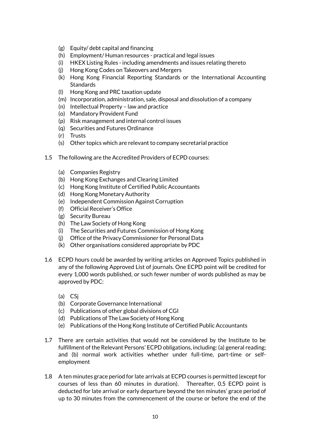- (g) Equity/ debt capital and financing
- (h) Employment/ Human resources practical and legal issues
- (i) HKEX Listing Rules including amendments and issues relating thereto
- (j) Hong Kong Codes on Takeovers and Mergers
- (k) Hong Kong Financial Reporting Standards or the International Accounting **Standards**
- (l) Hong Kong and PRC taxation update
- (m) Incorporation, administration, sale, disposal and dissolution of a company
- (n) Intellectual Property law and practice
- (o) Mandatory Provident Fund
- (p) Risk management and internal control issues
- (q) Securities and Futures Ordinance
- (r) Trusts
- (s) Other topics which are relevant to company secretarial practice
- 1.5 The following are the Accredited Providers of ECPD courses:
	- (a) Companies Registry
	- (b) Hong Kong Exchanges and Clearing Limited
	- (c) Hong Kong Institute of Certified Public Accountants
	- (d) Hong Kong Monetary Authority
	- (e) Independent Commission Against Corruption
	- (f) Official Receiver's Office
	- (g) Security Bureau
	- (h) The Law Society of Hong Kong
	- (i) The Securities and Futures Commission of Hong Kong
	- (j) Office of the Privacy Commissioner for Personal Data
	- (k) Other organisations considered appropriate by PDC
- 1.6 ECPD hours could be awarded by writing articles on Approved Topics published in any of the following Approved List of journals. One ECPD point will be credited for every 1,000 words published, or such fewer number of words published as may be approved by PDC:
	- (a) CSj
	- (b) Corporate Governance International
	- (c) Publications of other global divisions of CGI
	- (d) Publications of The Law Society of Hong Kong
	- (e) Publications of the Hong Kong Institute of Certified Public Accountants
- 1.7 There are certain activities that would not be considered by the Institute to be fulfillment of the Relevant Persons' ECPD obligations, including: (a) general reading; and (b) normal work activities whether under full-time, part-time or selfemployment
- 1.8 A ten minutes grace period for late arrivals at ECPD courses is permitted (except for courses of less than 60 minutes in duration). Thereafter, 0.5 ECPD point is deducted for late arrival or early departure beyond the ten minutes' grace period of up to 30 minutes from the commencement of the course or before the end of the